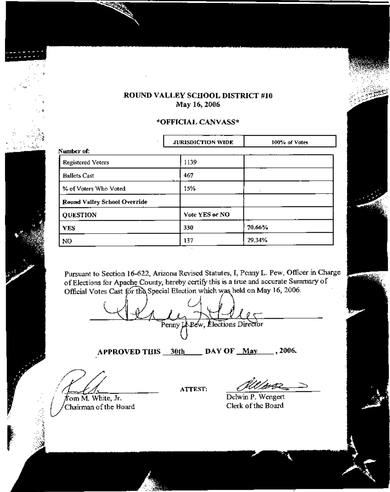## ROUND VALLEY SCHOOL DISTRICT #10 May 16, 2006

## \*OFFICIAL CANVASS\*

|                                     | <b>JURISDICTION WIDE</b> | 100% of Votes |  |  |  |  |  |  |  |
|-------------------------------------|--------------------------|---------------|--|--|--|--|--|--|--|
| Number of:                          |                          |               |  |  |  |  |  |  |  |
| Registered Voters                   | 1139                     |               |  |  |  |  |  |  |  |
| <b>Ballots Cast</b>                 | 467                      |               |  |  |  |  |  |  |  |
| % of Voters Who Voted               | 15%                      |               |  |  |  |  |  |  |  |
| <b>Round Valley School Override</b> |                          |               |  |  |  |  |  |  |  |
| <b>QUESTION</b>                     | Vote YES or NO           |               |  |  |  |  |  |  |  |
| <b>YES</b>                          | 330                      | 70.66%        |  |  |  |  |  |  |  |
| N <sub>0</sub>                      | 137                      | 29,34%        |  |  |  |  |  |  |  |

Pursuant to Section 16-622, Arizona Revised Statutes, I, Penny L. Pew, Officer in Charge of Elections for Apache County, hereby certify this is a true and accurate Summary of Official Votes Cast for the Special Election which was held on May 16, 2006.

Penny<sub>L</sub> Pew, Elections Director

APPROVED THIS 30th DAY OF May 1006.

from M. White, Jr. Chairman of the Board

ATTEST:

Delwin P. Wengert Clerk of the Board